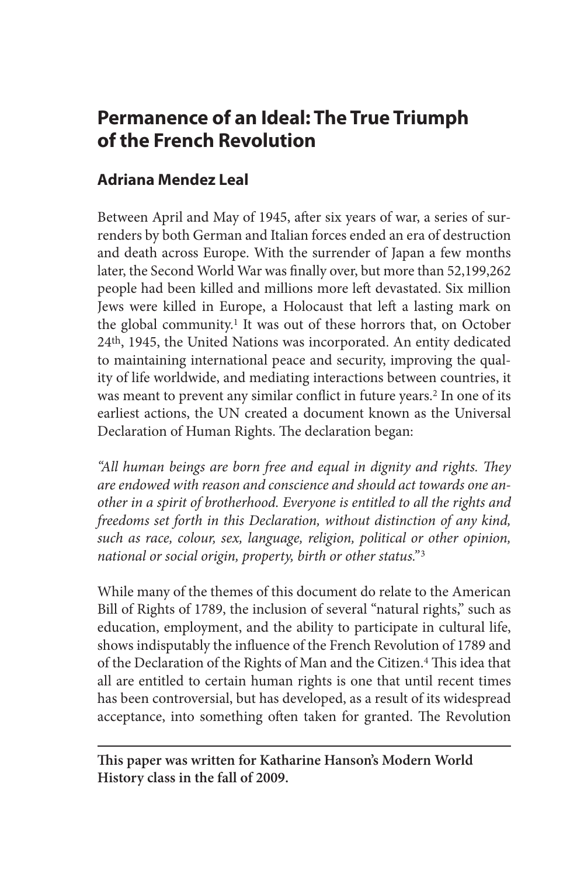# **Permanence of an Ideal: The True Triumph of the French Revolution**

# **Adriana Mendez Leal**

Between April and May of 1945, after six years of war, a series of surrenders by both German and Italian forces ended an era of destruction and death across Europe. With the surrender of Japan a few months later, the Second World War was finally over, but more than 52,199,262 people had been killed and millions more left devastated. Six million Jews were killed in Europe, a Holocaust that left a lasting mark on the global community.<sup>1</sup> It was out of these horrors that, on October 24th, 1945, the United Nations was incorporated. An entity dedicated to maintaining international peace and security, improving the quality of life worldwide, and mediating interactions between countries, it was meant to prevent any similar conflict in future years.2 In one of its earliest actions, the UN created a document known as the Universal Declaration of Human Rights. The declaration began:

*"All human beings are born free and equal in dignity and rights. They are endowed with reason and conscience and should act towards one another in a spirit of brotherhood. Everyone is entitled to all the rights and freedoms set forth in this Declaration, without distinction of any kind, such as race, colour, sex, language, religion, political or other opinion, national or social origin, property, birth or other status."* <sup>3</sup>

While many of the themes of this document do relate to the American Bill of Rights of 1789, the inclusion of several "natural rights," such as education, employment, and the ability to participate in cultural life, shows indisputably the influence of the French Revolution of 1789 and of the Declaration of the Rights of Man and the Citizen.<sup>4</sup> This idea that all are entitled to certain human rights is one that until recent times has been controversial, but has developed, as a result of its widespread acceptance, into something often taken for granted. The Revolution

**This paper was written for Katharine Hanson's Modern World History class in the fall of 2009.**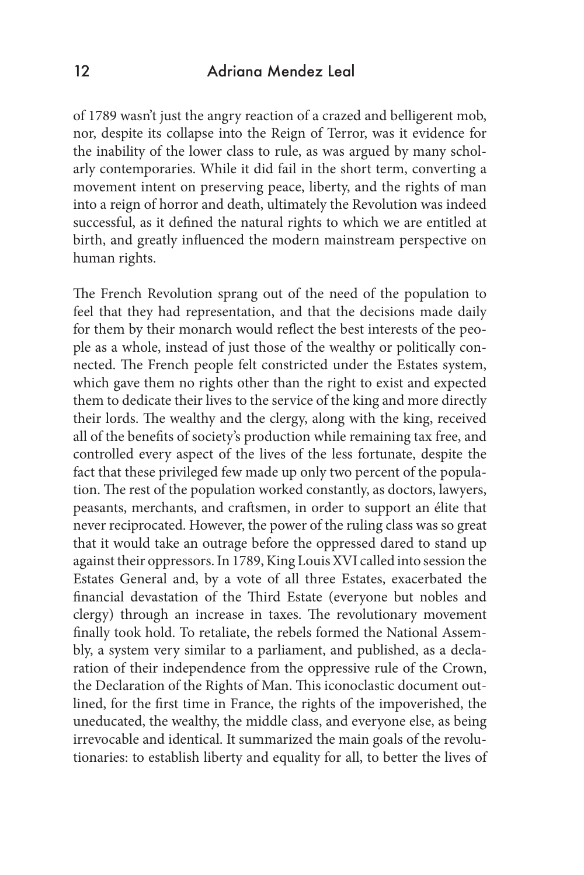of 1789 wasn't just the angry reaction of a crazed and belligerent mob, nor, despite its collapse into the Reign of Terror, was it evidence for the inability of the lower class to rule, as was argued by many scholarly contemporaries. While it did fail in the short term, converting a movement intent on preserving peace, liberty, and the rights of man into a reign of horror and death, ultimately the Revolution was indeed successful, as it defined the natural rights to which we are entitled at birth, and greatly influenced the modern mainstream perspective on human rights.

The French Revolution sprang out of the need of the population to feel that they had representation, and that the decisions made daily for them by their monarch would reflect the best interests of the people as a whole, instead of just those of the wealthy or politically connected. The French people felt constricted under the Estates system, which gave them no rights other than the right to exist and expected them to dedicate their lives to the service of the king and more directly their lords. The wealthy and the clergy, along with the king, received all of the benefits of society's production while remaining tax free, and controlled every aspect of the lives of the less fortunate, despite the fact that these privileged few made up only two percent of the population. The rest of the population worked constantly, as doctors, lawyers, peasants, merchants, and craftsmen, in order to support an élite that never reciprocated. However, the power of the ruling class was so great that it would take an outrage before the oppressed dared to stand up against their oppressors. In 1789, King Louis XVI called into session the Estates General and, by a vote of all three Estates, exacerbated the financial devastation of the Third Estate (everyone but nobles and clergy) through an increase in taxes. The revolutionary movement finally took hold. To retaliate, the rebels formed the National Assembly, a system very similar to a parliament, and published, as a declaration of their independence from the oppressive rule of the Crown, the Declaration of the Rights of Man. This iconoclastic document outlined, for the first time in France, the rights of the impoverished, the uneducated, the wealthy, the middle class, and everyone else, as being irrevocable and identical. It summarized the main goals of the revolutionaries: to establish liberty and equality for all, to better the lives of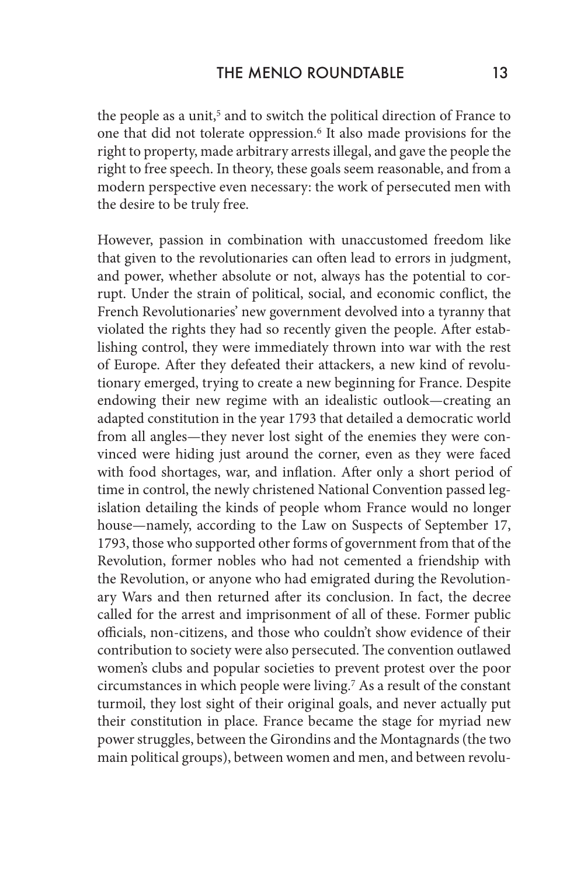the people as a unit,<sup>5</sup> and to switch the political direction of France to one that did not tolerate oppression.6 It also made provisions for the right to property, made arbitrary arrests illegal, and gave the people the right to free speech. In theory, these goals seem reasonable, and from a modern perspective even necessary: the work of persecuted men with the desire to be truly free.

However, passion in combination with unaccustomed freedom like that given to the revolutionaries can often lead to errors in judgment, and power, whether absolute or not, always has the potential to corrupt. Under the strain of political, social, and economic conflict, the French Revolutionaries' new government devolved into a tyranny that violated the rights they had so recently given the people. After establishing control, they were immediately thrown into war with the rest of Europe. After they defeated their attackers, a new kind of revolutionary emerged, trying to create a new beginning for France. Despite endowing their new regime with an idealistic outlook—creating an adapted constitution in the year 1793 that detailed a democratic world from all angles—they never lost sight of the enemies they were convinced were hiding just around the corner, even as they were faced with food shortages, war, and inflation. After only a short period of time in control, the newly christened National Convention passed legislation detailing the kinds of people whom France would no longer house—namely, according to the Law on Suspects of September 17, 1793, those who supported other forms of government from that of the Revolution, former nobles who had not cemented a friendship with the Revolution, or anyone who had emigrated during the Revolutionary Wars and then returned after its conclusion. In fact, the decree called for the arrest and imprisonment of all of these. Former public officials, non-citizens, and those who couldn't show evidence of their contribution to society were also persecuted. The convention outlawed women's clubs and popular societies to prevent protest over the poor circumstances in which people were living.7 As a result of the constant turmoil, they lost sight of their original goals, and never actually put their constitution in place. France became the stage for myriad new power struggles, between the Girondins and the Montagnards (the two main political groups), between women and men, and between revolu-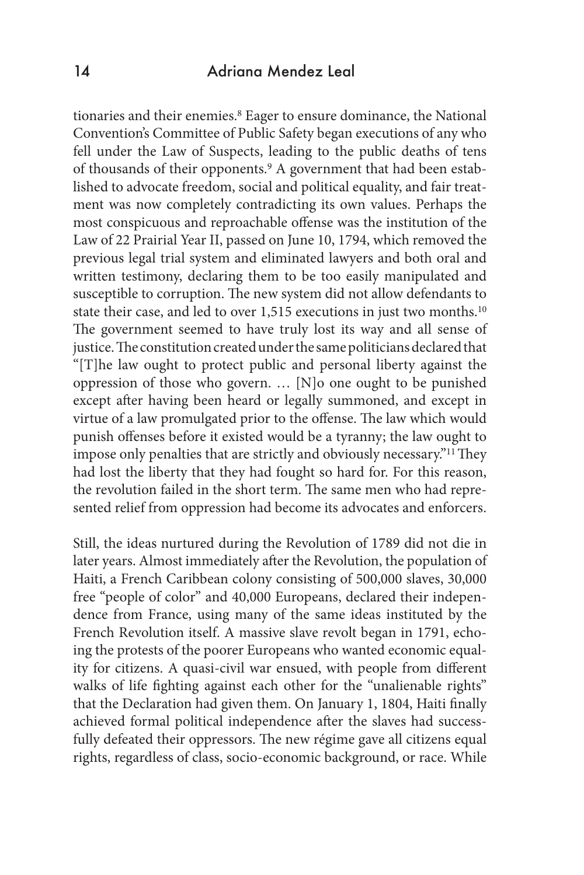#### 14 Adriana Mendez Leal

tionaries and their enemies.8 Eager to ensure dominance, the National Convention's Committee of Public Safety began executions of any who fell under the Law of Suspects, leading to the public deaths of tens of thousands of their opponents.9 A government that had been established to advocate freedom, social and political equality, and fair treatment was now completely contradicting its own values. Perhaps the most conspicuous and reproachable offense was the institution of the Law of 22 Prairial Year II, passed on June 10, 1794, which removed the previous legal trial system and eliminated lawyers and both oral and written testimony, declaring them to be too easily manipulated and susceptible to corruption. The new system did not allow defendants to state their case, and led to over 1,515 executions in just two months.10 The government seemed to have truly lost its way and all sense of justice. The constitution created under the same politicians declared that "[T]he law ought to protect public and personal liberty against the oppression of those who govern. … [N]o one ought to be punished except after having been heard or legally summoned, and except in virtue of a law promulgated prior to the offense. The law which would punish offenses before it existed would be a tyranny; the law ought to impose only penalties that are strictly and obviously necessary."11 They had lost the liberty that they had fought so hard for. For this reason, the revolution failed in the short term. The same men who had represented relief from oppression had become its advocates and enforcers.

Still, the ideas nurtured during the Revolution of 1789 did not die in later years. Almost immediately after the Revolution, the population of Haiti, a French Caribbean colony consisting of 500,000 slaves, 30,000 free "people of color" and 40,000 Europeans, declared their independence from France, using many of the same ideas instituted by the French Revolution itself. A massive slave revolt began in 1791, echoing the protests of the poorer Europeans who wanted economic equality for citizens. A quasi-civil war ensued, with people from different walks of life fighting against each other for the "unalienable rights" that the Declaration had given them. On January 1, 1804, Haiti finally achieved formal political independence after the slaves had successfully defeated their oppressors. The new régime gave all citizens equal rights, regardless of class, socio-economic background, or race. While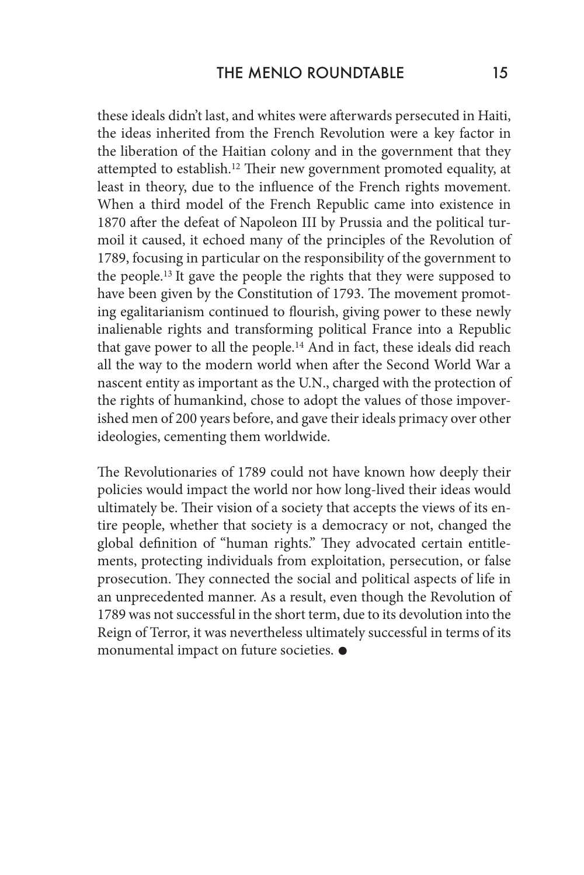these ideals didn't last, and whites were afterwards persecuted in Haiti, the ideas inherited from the French Revolution were a key factor in the liberation of the Haitian colony and in the government that they attempted to establish.12 Their new government promoted equality, at least in theory, due to the influence of the French rights movement. When a third model of the French Republic came into existence in 1870 after the defeat of Napoleon III by Prussia and the political turmoil it caused, it echoed many of the principles of the Revolution of 1789, focusing in particular on the responsibility of the government to the people.13 It gave the people the rights that they were supposed to have been given by the Constitution of 1793. The movement promoting egalitarianism continued to flourish, giving power to these newly inalienable rights and transforming political France into a Republic that gave power to all the people.14 And in fact, these ideals did reach all the way to the modern world when after the Second World War a nascent entity as important as the U.N., charged with the protection of the rights of humankind, chose to adopt the values of those impoverished men of 200 years before, and gave their ideals primacy over other ideologies, cementing them worldwide.

The Revolutionaries of 1789 could not have known how deeply their policies would impact the world nor how long-lived their ideas would ultimately be. Their vision of a society that accepts the views of its entire people, whether that society is a democracy or not, changed the global definition of "human rights." They advocated certain entitlements, protecting individuals from exploitation, persecution, or false prosecution. They connected the social and political aspects of life in an unprecedented manner. As a result, even though the Revolution of 1789 was not successful in the short term, due to its devolution into the Reign of Terror, it was nevertheless ultimately successful in terms of its monumental impact on future societies.  $\bullet$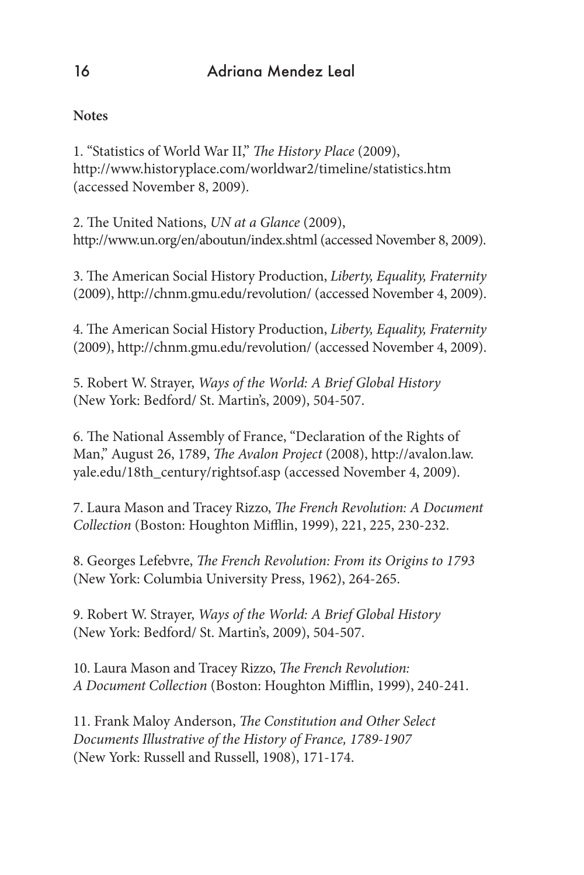### **Notes**

1. "Statistics of World War II," *The History Place* (2009), http://www.historyplace.com/worldwar2/timeline/statistics.htm (accessed November 8, 2009).

2. The United Nations, *UN at a Glance* (2009), http://www.un.org/en/aboutun/index.shtml (accessed November 8, 2009).

3. The American Social History Production, *Liberty, Equality, Fraternity* (2009), http://chnm.gmu.edu/revolution/ (accessed November 4, 2009).

4. The American Social History Production, *Liberty, Equality, Fraternity* (2009), http://chnm.gmu.edu/revolution/ (accessed November 4, 2009).

5. Robert W. Strayer, *Ways of the World: A Brief Global History* (New York: Bedford/ St. Martin's, 2009), 504-507.

6. The National Assembly of France, "Declaration of the Rights of Man," August 26, 1789, *The Avalon Project* (2008), http://avalon.law. yale.edu/18th\_century/rightsof.asp (accessed November 4, 2009).

7. Laura Mason and Tracey Rizzo, *The French Revolution: A Document Collection* (Boston: Houghton Mifflin, 1999), 221, 225, 230-232.

8. Georges Lefebvre, *The French Revolution: From its Origins to 1793*  (New York: Columbia University Press, 1962), 264-265.

9. Robert W. Strayer, *Ways of the World: A Brief Global History* (New York: Bedford/ St. Martin's, 2009), 504-507.

10. Laura Mason and Tracey Rizzo, *The French Revolution: A Document Collection* (Boston: Houghton Mifflin, 1999), 240-241.

11. Frank Maloy Anderson, *The Constitution and Other Select Documents Illustrative of the History of France, 1789-1907* (New York: Russell and Russell, 1908), 171-174.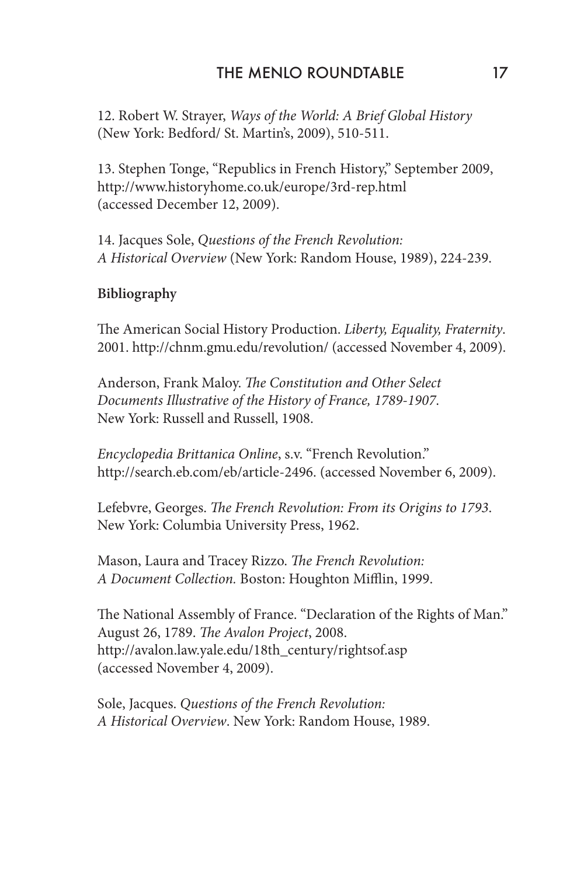12. Robert W. Strayer, *Ways of the World: A Brief Global History* (New York: Bedford/ St. Martin's, 2009), 510-511.

13. Stephen Tonge, "Republics in French History," September 2009, http://www.historyhome.co.uk/europe/3rd-rep.html (accessed December 12, 2009).

14. Jacques Sole, *Questions of the French Revolution: A Historical Overview* (New York: Random House, 1989), 224-239.

#### **Bibliography**

The American Social History Production. *Liberty, Equality, Fraternity*. 2001. http://chnm.gmu.edu/revolution/ (accessed November 4, 2009).

Anderson, Frank Maloy. *The Constitution and Other Select Documents Illustrative of the History of France, 1789-1907*. New York: Russell and Russell, 1908.

*Encyclopedia Brittanica Online*, s.v. "French Revolution." http://search.eb.com/eb/article-2496. (accessed November 6, 2009).

Lefebvre, Georges. *The French Revolution: From its Origins to 1793*. New York: Columbia University Press, 1962.

Mason, Laura and Tracey Rizzo. *The French Revolution: A Document Collection.* Boston: Houghton Mifflin, 1999.

The National Assembly of France. "Declaration of the Rights of Man." August 26, 1789. *The Avalon Project*, 2008. http://avalon.law.yale.edu/18th\_century/rightsof.asp (accessed November 4, 2009).

Sole, Jacques. *Questions of the French Revolution: A Historical Overview*. New York: Random House, 1989.